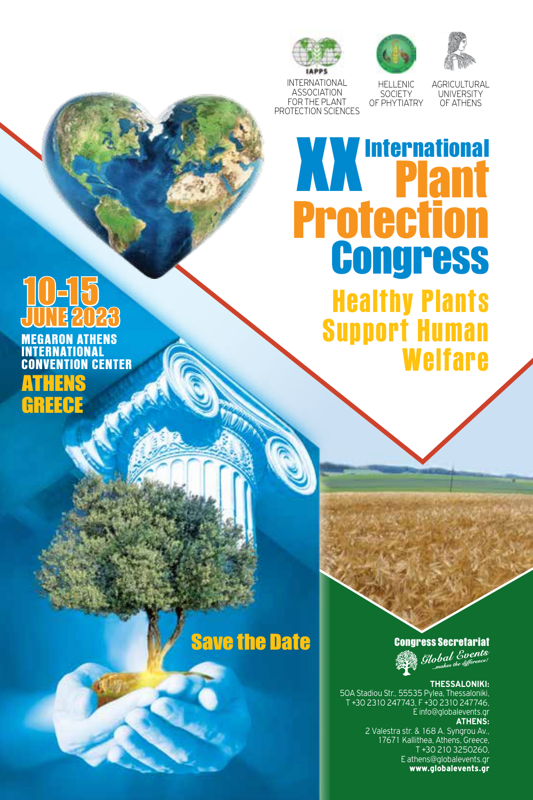





INTERNATIONAL ASSOCIATION FOR THE PLANT PROTECTION SCIENCES

HELLENIC SOCIETY OF PHYTIATRY

AGRICULTURAL UNIVERSITY OF ATHENS

# **XX** International Protection **Congress**

Healthy Plants Support Human Welfare

# 10-15 JUNE 2023

MEGARON ATHENS INTERNATIONAL CONVENTION CENTER ATHENS GREECE

## Save the Date

**Congress Secretariat**<br>*Global Coents* 

### **THESSALONIKI:**

50A Stadiou Str., 55535 Pylea, Thessaloniki, T +30 2310 247743, F +30 2310 247746, E info@globalevents.gr

### **ATHENS:**

2 Valestra str. & 168 A. Syngrou Av., 17671 Kallithea, Athens, Greece, T +30 210 3250260, E athens@globalevents.gr www.globalevents.gr